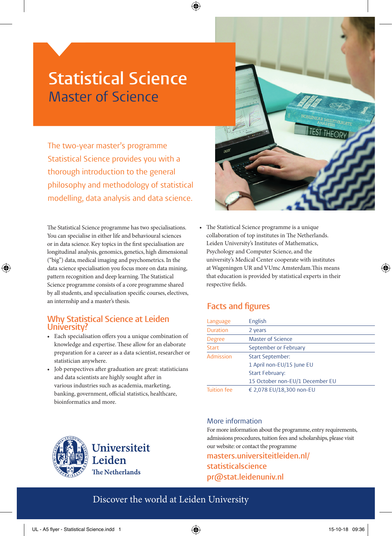# **Statistical Science** Master of Science

The two-year master's programme Statistical Science provides you with a thorough introduction to the general philosophy and methodology of statistical modelling, data analysis and data science.

The Statistical Science programme has two specialisations. You can specialise in either life and behavioural sciences or in data science. Key topics in the first specialisation are longitudinal analysis, genomics, genetics, high dimensional ("big") data, medical imaging and psychometrics. In the data science specialisation you focus more on data mining, pattern recognition and deep learning. The Statistical Science programme consists of a core programme shared by all students, and specialisation specific courses, electives, an internship and a master's thesis.

⊕

#### **Why Statistical Science at Leiden University?**

- Each specialisation offers you a unique combination of knowledge and expertise. These allow for an elaborate preparation for a career as a data scientist, researcher or statistician anywhere.
- Job perspectives after graduation are great: statisticians and data scientists are highly sought after in various industries such as academia, marketing, banking, government, official statistics, healthcare, bioinformatics and more.



• The Statistical Science programme is a unique collaboration of top institutes in The Netherlands. Leiden University's Institutes of Mathematics, Psychology and Computer Science, and the university's Medical Center cooperate with institutes at Wageningen UR and VUmc Amsterdam.This means that education is provided by statistical experts in their respective fields.

## **Facts and figures**

| Language           | English                         |
|--------------------|---------------------------------|
| <b>Duration</b>    | 2 years                         |
| <b>Degree</b>      | Master of Science               |
| <b>Start</b>       | September or February           |
| Admission          | <b>Start September:</b>         |
|                    | 1 April non-EU/15 June EU       |
|                    | <b>Start February:</b>          |
|                    | 15 October non-EU/1 December EU |
| <b>Tuition fee</b> | € 2,078 EU/18,300 non-EU        |

#### More information

For more information about the programme, entry requirements, admissions procedures, tuition fees and scholarships, please visit our website: or contact the programme **masters.universiteitleiden.nl/**

**statisticalscience pr@stat.leidenuniv.nl**

## Discover the world at Leiden University



◈